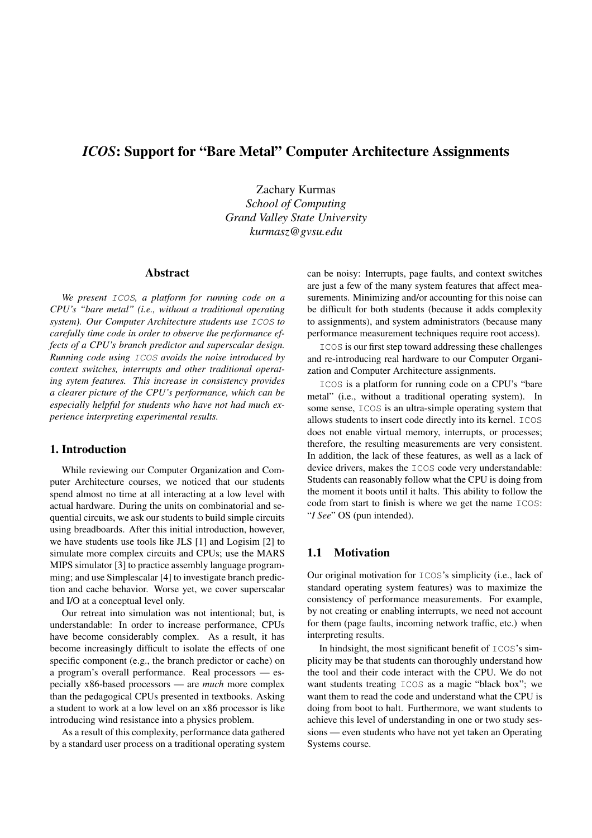# *ICOS*: Support for "Bare Metal" Computer Architecture Assignments

Zachary Kurmas *School of Computing Grand Valley State University kurmasz@gvsu.edu*

## Abstract

*We present* ICOS*, a platform for running code on a CPU's "bare metal" (i.e., without a traditional operating system). Our Computer Architecture students use* ICOS *to carefully time code in order to observe the performance effects of a CPU's branch predictor and superscalar design. Running code using* ICOS *avoids the noise introduced by context switches, interrupts and other traditional operating sytem features. This increase in consistency provides a clearer picture of the CPU's performance, which can be especially helpful for students who have not had much experience interpreting experimental results.*

#### 1. Introduction

While reviewing our Computer Organization and Computer Architecture courses, we noticed that our students spend almost no time at all interacting at a low level with actual hardware. During the units on combinatorial and sequential circuits, we ask our students to build simple circuits using breadboards. After this initial introduction, however, we have students use tools like JLS [1] and Logisim [2] to simulate more complex circuits and CPUs; use the MARS MIPS simulator [3] to practice assembly language programming; and use Simplescalar [4] to investigate branch prediction and cache behavior. Worse yet, we cover superscalar and I/O at a conceptual level only.

Our retreat into simulation was not intentional; but, is understandable: In order to increase performance, CPUs have become considerably complex. As a result, it has become increasingly difficult to isolate the effects of one specific component (e.g., the branch predictor or cache) on a program's overall performance. Real processors — especially x86-based processors — are *much* more complex than the pedagogical CPUs presented in textbooks. Asking a student to work at a low level on an x86 processor is like introducing wind resistance into a physics problem.

As a result of this complexity, performance data gathered by a standard user process on a traditional operating system can be noisy: Interrupts, page faults, and context switches are just a few of the many system features that affect measurements. Minimizing and/or accounting for this noise can be difficult for both students (because it adds complexity to assignments), and system administrators (because many performance measurement techniques require root access).

ICOS is our first step toward addressing these challenges and re-introducing real hardware to our Computer Organization and Computer Architecture assignments.

ICOS is a platform for running code on a CPU's "bare metal" (i.e., without a traditional operating system). In some sense, ICOS is an ultra-simple operating system that allows students to insert code directly into its kernel. ICOS does not enable virtual memory, interrupts, or processes; therefore, the resulting measurements are very consistent. In addition, the lack of these features, as well as a lack of device drivers, makes the ICOS code very understandable: Students can reasonably follow what the CPU is doing from the moment it boots until it halts. This ability to follow the code from start to finish is where we get the name ICOS: "*I See*" OS (pun intended).

### 1.1 Motivation

Our original motivation for ICOS's simplicity (i.e., lack of standard operating system features) was to maximize the consistency of performance measurements. For example, by not creating or enabling interrupts, we need not account for them (page faults, incoming network traffic, etc.) when interpreting results.

In hindsight, the most significant benefit of ICOS's simplicity may be that students can thoroughly understand how the tool and their code interact with the CPU. We do not want students treating ICOS as a magic "black box"; we want them to read the code and understand what the CPU is doing from boot to halt. Furthermore, we want students to achieve this level of understanding in one or two study sessions — even students who have not yet taken an Operating Systems course.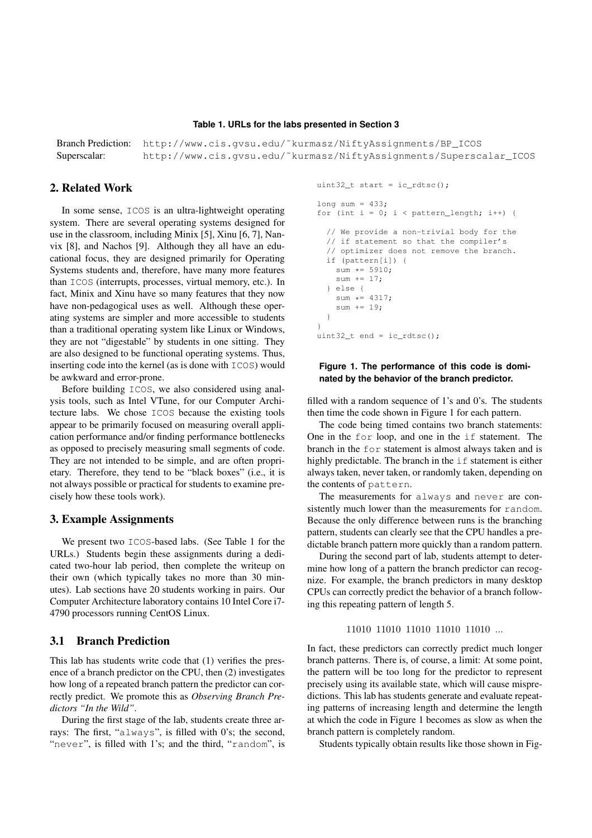#### **Table 1. URLs for the labs presented in Section 3**

Branch Prediction: http://www.cis.gvsu.edu/˜kurmasz/NiftyAssignments/BP\_ICOS Superscalar: http://www.cis.gvsu.edu/˜kurmasz/NiftyAssignments/Superscalar\_ICOS

#### 2. Related Work

In some sense, ICOS is an ultra-lightweight operating system. There are several operating systems designed for use in the classroom, including Minix [5], Xinu [6, 7], Nanvix [8], and Nachos [9]. Although they all have an educational focus, they are designed primarily for Operating Systems students and, therefore, have many more features than ICOS (interrupts, processes, virtual memory, etc.). In fact, Minix and Xinu have so many features that they now have non-pedagogical uses as well. Although these operating systems are simpler and more accessible to students than a traditional operating system like Linux or Windows, they are not "digestable" by students in one sitting. They are also designed to be functional operating systems. Thus, inserting code into the kernel (as is done with ICOS) would be awkward and error-prone.

Before building ICOS, we also considered using analysis tools, such as Intel VTune, for our Computer Architecture labs. We chose ICOS because the existing tools appear to be primarily focused on measuring overall application performance and/or finding performance bottlenecks as opposed to precisely measuring small segments of code. They are not intended to be simple, and are often proprietary. Therefore, they tend to be "black boxes" (i.e., it is not always possible or practical for students to examine precisely how these tools work).

#### 3. Example Assignments

We present two ICOS-based labs. (See Table 1 for the URLs.) Students begin these assignments during a dedicated two-hour lab period, then complete the writeup on their own (which typically takes no more than 30 minutes). Lab sections have 20 students working in pairs. Our Computer Architecture laboratory contains 10 Intel Core i7- 4790 processors running CentOS Linux.

#### 3.1 Branch Prediction

This lab has students write code that (1) verifies the presence of a branch predictor on the CPU, then (2) investigates how long of a repeated branch pattern the predictor can correctly predict. We promote this as *Observing Branch Predictors "In the Wild"*.

During the first stage of the lab, students create three arrays: The first, "always", is filled with 0's; the second, "never", is filled with 1's; and the third, "random", is

```
uint32 t start = ic rdtsc();
```

```
long sum = 433;
for (int i = 0; i < pattern_length; i++) {
  // We provide a non-trivial body for the
  // if statement so that the compiler's
  // optimizer does not remove the branch.
  if (pattern[i]) {
    sum \star = 5910;
    sum += 17;} else {
    sum \star = 4317;sum += 19;}
}
uint32_t end = ic\_rdtsc();
```
#### **Figure 1. The performance of this code is dominated by the behavior of the branch predictor.**

filled with a random sequence of 1's and 0's. The students then time the code shown in Figure 1 for each pattern.

The code being timed contains two branch statements: One in the for loop, and one in the if statement. The branch in the for statement is almost always taken and is highly predictable. The branch in the  $\exists f$  statement is either always taken, never taken, or randomly taken, depending on the contents of pattern.

The measurements for always and never are consistently much lower than the measurements for random. Because the only difference between runs is the branching pattern, students can clearly see that the CPU handles a predictable branch pattern more quickly than a random pattern.

During the second part of lab, students attempt to determine how long of a pattern the branch predictor can recognize. For example, the branch predictors in many desktop CPUs can correctly predict the behavior of a branch following this repeating pattern of length 5.

#### 11010 11010 11010 11010 11010 ...

In fact, these predictors can correctly predict much longer branch patterns. There is, of course, a limit: At some point, the pattern will be too long for the predictor to represent precisely using its available state, which will cause mispredictions. This lab has students generate and evaluate repeating patterns of increasing length and determine the length at which the code in Figure 1 becomes as slow as when the branch pattern is completely random.

Students typically obtain results like those shown in Fig-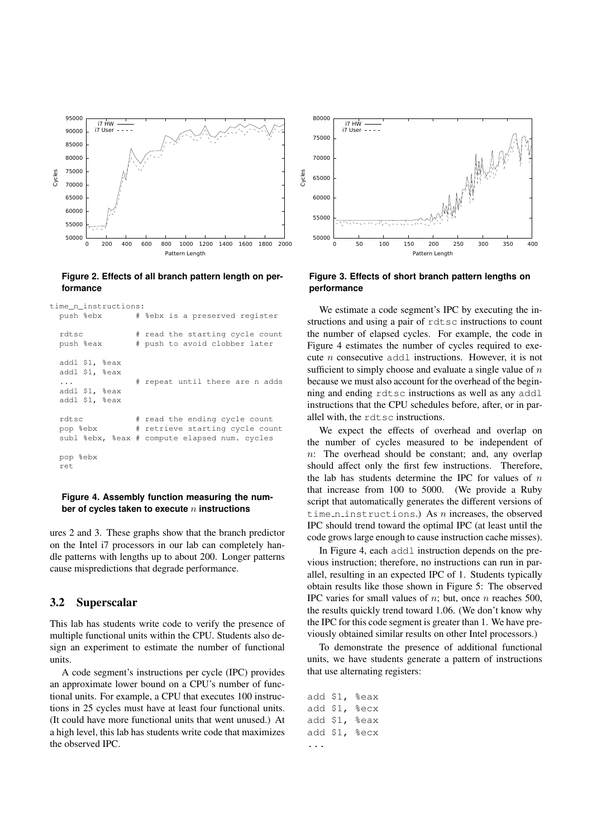

**Figure 2. Effects of all branch pattern length on performance**

```
time_n_instructions:
```


#### **Figure 4. Assembly function measuring the number of cycles taken to execute** n **instructions**

ures 2 and 3. These graphs show that the branch predictor on the Intel i7 processors in our lab can completely handle patterns with lengths up to about 200. Longer patterns cause mispredictions that degrade performance.

#### 3.2 Superscalar

This lab has students write code to verify the presence of multiple functional units within the CPU. Students also design an experiment to estimate the number of functional units.

A code segment's instructions per cycle (IPC) provides an approximate lower bound on a CPU's number of functional units. For example, a CPU that executes 100 instructions in 25 cycles must have at least four functional units. (It could have more functional units that went unused.) At a high level, this lab has students write code that maximizes the observed IPC.



**Figure 3. Effects of short branch pattern lengths on performance**

We estimate a code segment's IPC by executing the instructions and using a pair of rdtsc instructions to count the number of elapsed cycles. For example, the code in Figure 4 estimates the number of cycles required to execute n consecutive addl instructions. However, it is not sufficient to simply choose and evaluate a single value of  $n$ because we must also account for the overhead of the beginning and ending rdtsc instructions as well as any addl instructions that the CPU schedules before, after, or in parallel with, the rdtsc instructions.

We expect the effects of overhead and overlap on the number of cycles measured to be independent of  $n$ : The overhead should be constant; and, any overlap should affect only the first few instructions. Therefore, the lab has students determine the IPC for values of  $n$ that increase from 100 to 5000. (We provide a Ruby script that automatically generates the different versions of time n instructions.) As n increases, the observed IPC should trend toward the optimal IPC (at least until the code grows large enough to cause instruction cache misses).

In Figure 4, each addl instruction depends on the previous instruction; therefore, no instructions can run in parallel, resulting in an expected IPC of 1. Students typically obtain results like those shown in Figure 5: The observed IPC varies for small values of  $n$ ; but, once  $n$  reaches 500, the results quickly trend toward 1.06. (We don't know why the IPC for this code segment is greater than 1. We have previously obtained similar results on other Intel processors.)

To demonstrate the presence of additional functional units, we have students generate a pattern of instructions that use alternating registers:

add \$1, %eax add \$1, %ecx add \$1, %eax add \$1, %ecx ...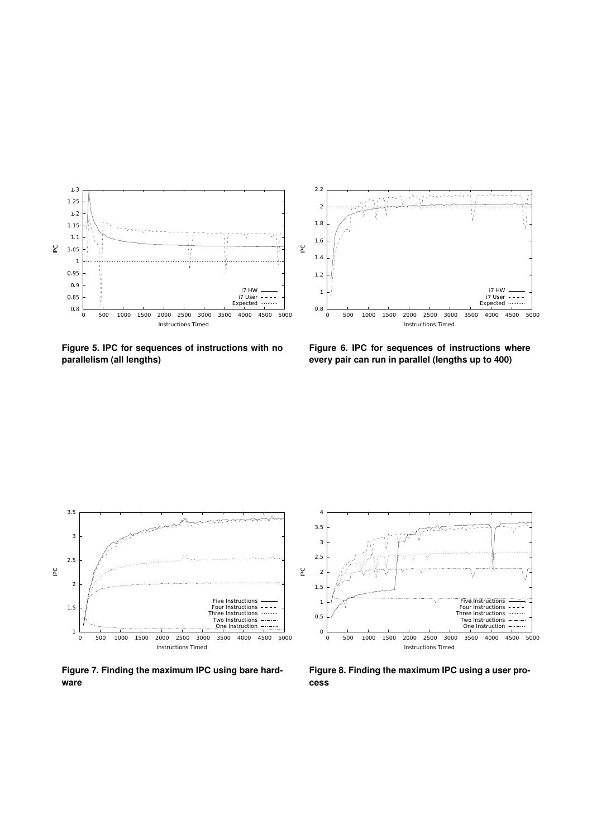

**Figure 5. IPC for sequences of instructions with no parallelism (all lengths)**

**Figure 6. IPC for sequences of instructions where every pair can run in parallel (lengths up to 400)**



**Figure 7. Finding the maximum IPC using bare hardware**



**Figure 8. Finding the maximum IPC using a user process**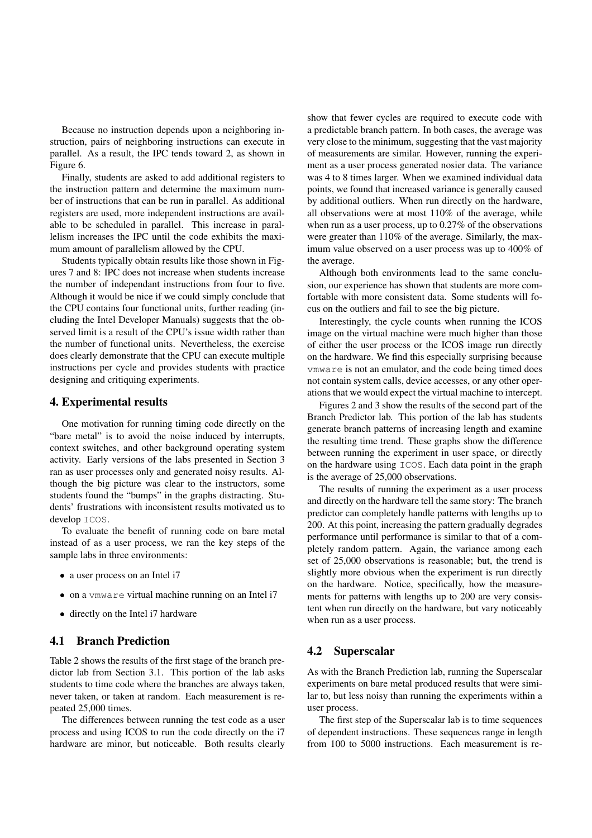Because no instruction depends upon a neighboring instruction, pairs of neighboring instructions can execute in parallel. As a result, the IPC tends toward 2, as shown in Figure 6.

Finally, students are asked to add additional registers to the instruction pattern and determine the maximum number of instructions that can be run in parallel. As additional registers are used, more independent instructions are available to be scheduled in parallel. This increase in parallelism increases the IPC until the code exhibits the maximum amount of parallelism allowed by the CPU.

Students typically obtain results like those shown in Figures 7 and 8: IPC does not increase when students increase the number of independant instructions from four to five. Although it would be nice if we could simply conclude that the CPU contains four functional units, further reading (including the Intel Developer Manuals) suggests that the observed limit is a result of the CPU's issue width rather than the number of functional units. Nevertheless, the exercise does clearly demonstrate that the CPU can execute multiple instructions per cycle and provides students with practice designing and critiquing experiments.

#### 4. Experimental results

One motivation for running timing code directly on the "bare metal" is to avoid the noise induced by interrupts, context switches, and other background operating system activity. Early versions of the labs presented in Section 3 ran as user processes only and generated noisy results. Although the big picture was clear to the instructors, some students found the "bumps" in the graphs distracting. Students' frustrations with inconsistent results motivated us to develop ICOS.

To evaluate the benefit of running code on bare metal instead of as a user process, we ran the key steps of the sample labs in three environments:

- a user process on an Intel i7
- on a vmware virtual machine running on an Intel i7
- directly on the Intel i7 hardware

#### 4.1 Branch Prediction

Table 2 shows the results of the first stage of the branch predictor lab from Section 3.1. This portion of the lab asks students to time code where the branches are always taken, never taken, or taken at random. Each measurement is repeated 25,000 times.

The differences between running the test code as a user process and using ICOS to run the code directly on the i7 hardware are minor, but noticeable. Both results clearly show that fewer cycles are required to execute code with a predictable branch pattern. In both cases, the average was very close to the minimum, suggesting that the vast majority of measurements are similar. However, running the experiment as a user process generated nosier data. The variance was 4 to 8 times larger. When we examined individual data points, we found that increased variance is generally caused by additional outliers. When run directly on the hardware, all observations were at most 110% of the average, while when run as a user process, up to 0.27% of the observations were greater than 110% of the average. Similarly, the maximum value observed on a user process was up to 400% of the average.

Although both environments lead to the same conclusion, our experience has shown that students are more comfortable with more consistent data. Some students will focus on the outliers and fail to see the big picture.

Interestingly, the cycle counts when running the ICOS image on the virtual machine were much higher than those of either the user process or the ICOS image run directly on the hardware. We find this especially surprising because vmware is not an emulator, and the code being timed does not contain system calls, device accesses, or any other operations that we would expect the virtual machine to intercept.

Figures 2 and 3 show the results of the second part of the Branch Predictor lab. This portion of the lab has students generate branch patterns of increasing length and examine the resulting time trend. These graphs show the difference between running the experiment in user space, or directly on the hardware using ICOS. Each data point in the graph is the average of 25,000 observations.

The results of running the experiment as a user process and directly on the hardware tell the same story: The branch predictor can completely handle patterns with lengths up to 200. At this point, increasing the pattern gradually degrades performance until performance is similar to that of a completely random pattern. Again, the variance among each set of 25,000 observations is reasonable; but, the trend is slightly more obvious when the experiment is run directly on the hardware. Notice, specifically, how the measurements for patterns with lengths up to 200 are very consistent when run directly on the hardware, but vary noticeably when run as a user process.

#### 4.2 Superscalar

As with the Branch Prediction lab, running the Superscalar experiments on bare metal produced results that were similar to, but less noisy than running the experiments within a user process.

The first step of the Superscalar lab is to time sequences of dependent instructions. These sequences range in length from 100 to 5000 instructions. Each measurement is re-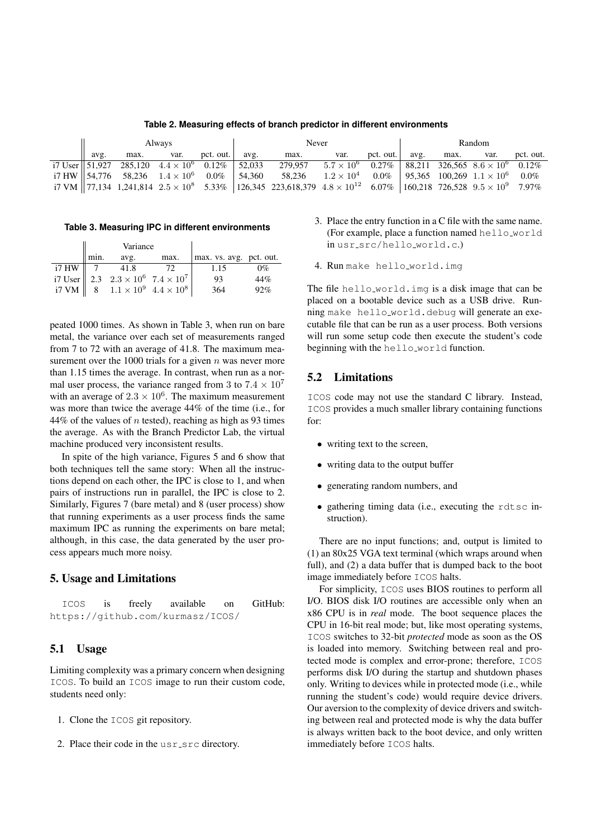**Table 2. Measuring effects of branch predictor in different environments**

| Always |  |  |  | Never |                                                                                                                                                                                                                                                                                                      |  |  | Random |  |                            |           |
|--------|--|--|--|-------|------------------------------------------------------------------------------------------------------------------------------------------------------------------------------------------------------------------------------------------------------------------------------------------------------|--|--|--------|--|----------------------------|-----------|
| avg.   |  |  |  |       | max. var. pct. out.   avg. max. var.                                                                                                                                                                                                                                                                 |  |  |        |  | pct. out.   avg. max. var. | pct. out. |
|        |  |  |  |       | $\frac{17}{2}$ User $\frac{151,927}{285,120}$ $\frac{4.4 \times 10^6}{4.4 \times 10^6}$ $\frac{0.12\%}{52,033}$ $\frac{279,957}{279,957}$ $\frac{5.7 \times 10^6}{25.7 \times 10^6}$ $\frac{0.27\%}{88,211}$ $\frac{326,565}{326,565}$ $\frac{8.6 \times 10^6}{25.7 \times 10^6}$ $\frac{0.12\%}{25$ |  |  |        |  |                            |           |
|        |  |  |  |       | i7 HW 54,776 58,236 $1.4 \times 10^6$ 0.0% 54,360 58,236 $1.2 \times 10^4$ 0.0% 95,365 100,269 $1.1 \times 10^6$ 0.0%                                                                                                                                                                                |  |  |        |  |                            |           |
|        |  |  |  |       | $17 \text{ VM}$ 7,134 1,241,814 2.5 $\times$ 10 <sup>8</sup> 5.33% 126,345 223,618,379 4.8 $\times$ 10 <sup>12</sup> 6.07% 160,218 726,528 9.5 $\times$ 10 <sup>9</sup> 7.97%                                                                                                                        |  |  |        |  |                            |           |

**Table 3. Measuring IPC in different environments**

|                     |      | Variance                                                                                                                                                                                                  |      |                         |       |
|---------------------|------|-----------------------------------------------------------------------------------------------------------------------------------------------------------------------------------------------------------|------|-------------------------|-------|
|                     | min. | avg.                                                                                                                                                                                                      | max. | max. vs. avg. pct. out. |       |
| $i7$ HW $\parallel$ |      | $\begin{array}{ c c c c c }\n\hline\n i7 \text{ HW} & 7 & 41.8 & 72 \\  i7 \text{ User} & 2.3 & 2.3 \times 10^6 & 7.4 \times 10^7 \\  i7 \text{ VM} & 8 & 1.1 \times 10^9 & 4.4 \times 10^8\n\end{array}$ |      | 1.15                    | $0\%$ |
|                     |      |                                                                                                                                                                                                           |      | 93                      | 44%   |
|                     |      |                                                                                                                                                                                                           |      | 364                     | 92%   |

peated 1000 times. As shown in Table 3, when run on bare metal, the variance over each set of measurements ranged from 7 to 72 with an average of 41.8. The maximum measurement over the 1000 trials for a given  $n$  was never more than 1.15 times the average. In contrast, when run as a normal user process, the variance ranged from 3 to  $7.4 \times 10^7$ with an average of  $2.3 \times 10^6$ . The maximum measurement was more than twice the average 44% of the time (i.e., for 44% of the values of  $n$  tested), reaching as high as 93 times the average. As with the Branch Predictor Lab, the virtual machine produced very inconsistent results.

In spite of the high variance, Figures 5 and 6 show that both techniques tell the same story: When all the instructions depend on each other, the IPC is close to 1, and when pairs of instructions run in parallel, the IPC is close to 2. Similarly, Figures 7 (bare metal) and 8 (user process) show that running experiments as a user process finds the same maximum IPC as running the experiments on bare metal; although, in this case, the data generated by the user process appears much more noisy.

### 5. Usage and Limitations

| ICOS |  | is freely available              | on | GitHub: |
|------|--|----------------------------------|----|---------|
|      |  | https://qithub.com/kurmasz/ICOS/ |    |         |

## 5.1 Usage

Limiting complexity was a primary concern when designing ICOS. To build an ICOS image to run their custom code, students need only:

- 1. Clone the ICOS git repository.
- 2. Place their code in the usr\_src directory.
- 3. Place the entry function in a C file with the same name. (For example, place a function named hello world in usr\_src/hello\_world.c.)
- 4. Run make hello\_world.img

The file hello world.img is a disk image that can be placed on a bootable device such as a USB drive. Running make hello world.debug will generate an executable file that can be run as a user process. Both versions will run some setup code then execute the student's code beginning with the hello world function.

## 5.2 Limitations

ICOS code may not use the standard C library. Instead, ICOS provides a much smaller library containing functions for:

- writing text to the screen,
- writing data to the output buffer
- generating random numbers, and
- gathering timing data (i.e., executing the rdtsc instruction).

There are no input functions; and, output is limited to (1) an 80x25 VGA text terminal (which wraps around when full), and (2) a data buffer that is dumped back to the boot image immediately before ICOS halts.

For simplicity, ICOS uses BIOS routines to perform all I/O. BIOS disk I/O routines are accessible only when an x86 CPU is in *real* mode. The boot sequence places the CPU in 16-bit real mode; but, like most operating systems, ICOS switches to 32-bit *protected* mode as soon as the OS is loaded into memory. Switching between real and protected mode is complex and error-prone; therefore, ICOS performs disk I/O during the startup and shutdown phases only. Writing to devices while in protected mode (i.e., while running the student's code) would require device drivers. Our aversion to the complexity of device drivers and switching between real and protected mode is why the data buffer is always written back to the boot device, and only written immediately before ICOS halts.